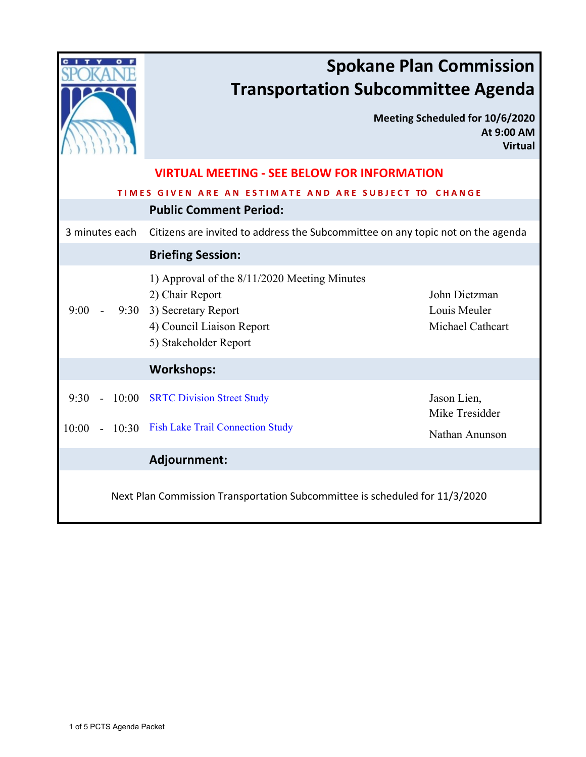|                                                                             | <b>Spokane Plan Commission</b><br><b>Transportation Subcommittee Agenda</b>                                                                       |                                                                 |  |  |
|-----------------------------------------------------------------------------|---------------------------------------------------------------------------------------------------------------------------------------------------|-----------------------------------------------------------------|--|--|
|                                                                             |                                                                                                                                                   | Meeting Scheduled for 10/6/2020<br>At 9:00 AM<br><b>Virtual</b> |  |  |
| <b>VIRTUAL MEETING - SEE BELOW FOR INFORMATION</b>                          |                                                                                                                                                   |                                                                 |  |  |
| TIMES GIVEN ARE AN ESTIMATE AND ARE SUBJECT TO CHANGE                       |                                                                                                                                                   |                                                                 |  |  |
| <b>Public Comment Period:</b>                                               |                                                                                                                                                   |                                                                 |  |  |
| 3 minutes each                                                              | Citizens are invited to address the Subcommittee on any topic not on the agenda                                                                   |                                                                 |  |  |
|                                                                             | <b>Briefing Session:</b>                                                                                                                          |                                                                 |  |  |
| 9:00                                                                        | 1) Approval of the 8/11/2020 Meeting Minutes<br>2) Chair Report<br>9:30 3) Secretary Report<br>4) Council Liaison Report<br>5) Stakeholder Report | John Dietzman<br>Louis Meuler<br>Michael Cathcart               |  |  |
|                                                                             | <b>Workshops:</b>                                                                                                                                 |                                                                 |  |  |
| 9:30<br>10:00                                                               | <b>SRTC Division Street Study</b>                                                                                                                 | Jason Lien,<br>Mike Tresidder                                   |  |  |
| 10:00                                                                       | 10:30 Fish Lake Trail Connection Study                                                                                                            | Nathan Anunson                                                  |  |  |
|                                                                             | Adjournment:                                                                                                                                      |                                                                 |  |  |
| Next Plan Commission Transportation Subcommittee is scheduled for 11/3/2020 |                                                                                                                                                   |                                                                 |  |  |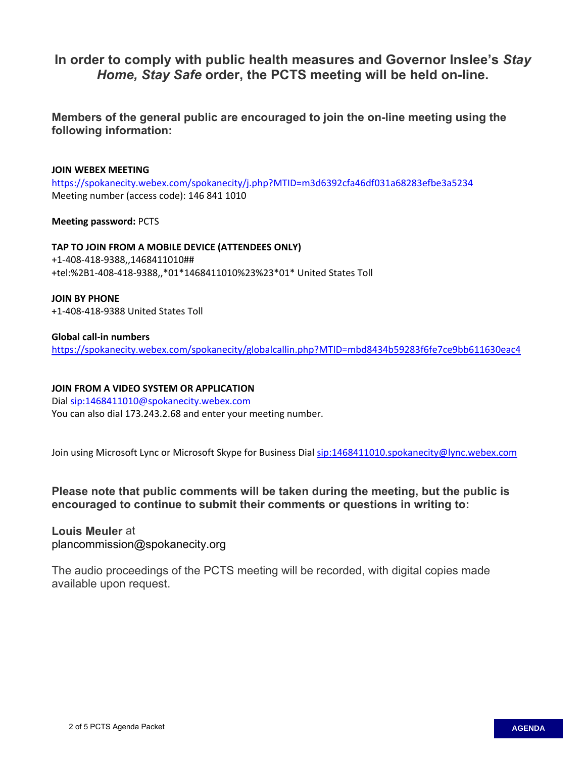## **In order to comply with public health measures and Governor Inslee's** *Stay Home, Stay Safe* **order, the PCTS meeting will be held on-line.**

**Members of the general public are encouraged to join the on-line meeting using the following information:**

#### **JOIN WEBEX MEETING**

<https://spokanecity.webex.com/spokanecity/j.php?MTID=m3d6392cfa46df031a68283efbe3a5234> Meeting number (access code): 146 841 1010

**Meeting password:** PCTS

**TAP TO JOIN FROM A MOBILE DEVICE (ATTENDEES ONLY)** +1-408-418-9388,,1468411010## +tel:%2B1-408-418-9388,,\*01\*1468411010%23%23\*01\* United States Toll

**JOIN BY PHONE** +1-408-418-9388 United States Toll

#### **Global call-in numbers**

<https://spokanecity.webex.com/spokanecity/globalcallin.php?MTID=mbd8434b59283f6fe7ce9bb611630eac4>

#### **JOIN FROM A VIDEO SYSTEM OR APPLICATION**

Dia[l sip:1468411010@spokanecity.webex.com](sip:1468411010@spokanecity.webex.com) You can also dial 173.243.2.68 and enter your meeting number.

Join using Microsoft Lync or Microsoft Skype for Business Dial<sip:1468411010.spokanecity@lync.webex.com>

**Please note that public comments will be taken during the meeting, but the public is encouraged to continue to submit their comments or questions in writing to:**

### **Louis Meuler** at plancommission@spokanecity.org

The audio proceedings of the PCTS meeting will be recorded, with digital copies made available upon request.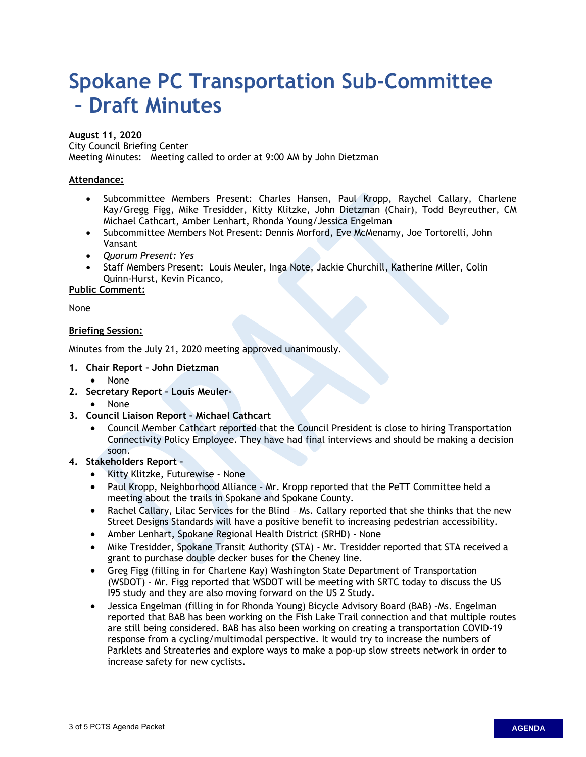# <span id="page-2-0"></span>**Spokane PC Transportation Sub-Committee – Draft Minutes**

#### **August 11, 2020**

City Council Briefing Center

Meeting Minutes: Meeting called to order at 9:00 AM by John Dietzman

#### **Attendance:**

- Subcommittee Members Present: Charles Hansen, Paul Kropp, Raychel Callary, Charlene Kay/Gregg Figg, Mike Tresidder, Kitty Klitzke, John Dietzman (Chair), Todd Beyreuther, CM Michael Cathcart, Amber Lenhart, Rhonda Young/Jessica Engelman
- Subcommittee Members Not Present: Dennis Morford, Eve McMenamy, Joe Tortorelli, John Vansant
- *Quorum Present: Yes*
- Staff Members Present: Louis Meuler, Inga Note, Jackie Churchill, Katherine Miller, Colin Quinn-Hurst, Kevin Picanco,

**Public Comment:**

None

#### **Briefing Session:**

Minutes from the July 21, 2020 meeting approved unanimously.

- **1. Chair Report John Dietzman**
	- None
- **2. Secretary Report Louis Meuler-** 
	- None
- **3. Council Liaison Report Michael Cathcart**
	- Council Member Cathcart reported that the Council President is close to hiring Transportation Connectivity Policy Employee. They have had final interviews and should be making a decision soon.

#### **4. Stakeholders Report –**

- Kitty Klitzke, Futurewise None
- Paul Kropp, Neighborhood Alliance Mr. Kropp reported that the PeTT Committee held a meeting about the trails in Spokane and Spokane County.
- Rachel Callary, Lilac Services for the Blind Ms. Callary reported that she thinks that the new Street Designs Standards will have a positive benefit to increasing pedestrian accessibility.
- Amber Lenhart, Spokane Regional Health District (SRHD) None
- Mike Tresidder, Spokane Transit Authority (STA) Mr. Tresidder reported that STA received a grant to purchase double decker buses for the Cheney line.
- Greg Figg (filling in for Charlene Kay) Washington State Department of Transportation (WSDOT) – Mr. Figg reported that WSDOT will be meeting with SRTC today to discuss the US I95 study and they are also moving forward on the US 2 Study.
- Jessica Engelman (filling in for Rhonda Young) Bicycle Advisory Board (BAB) –Ms. Engelman reported that BAB has been working on the Fish Lake Trail connection and that multiple routes are still being considered. BAB has also been working on creating a transportation COVID-19 response from a cycling/multimodal perspective. It would try to increase the numbers of Parklets and Streateries and explore ways to make a pop-up slow streets network in order to increase safety for new cyclists.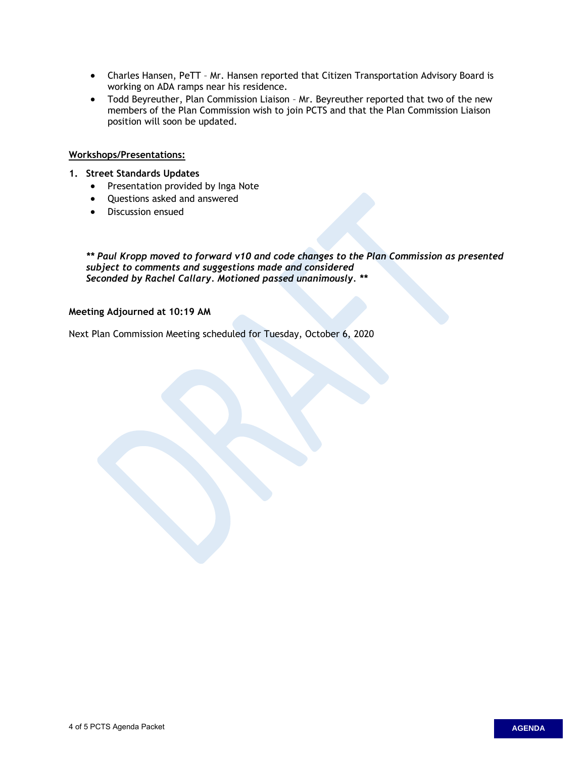- Charles Hansen, PeTT Mr. Hansen reported that Citizen Transportation Advisory Board is working on ADA ramps near his residence.
- Todd Beyreuther, Plan Commission Liaison Mr. Beyreuther reported that two of the new members of the Plan Commission wish to join PCTS and that the Plan Commission Liaison position will soon be updated.

#### **Workshops/Presentations:**

- **1. Street Standards Updates**
	- Presentation provided by Inga Note
	- Questions asked and answered
	- Discussion ensued

*\*\* Paul Kropp moved to forward v10 and code changes to the Plan Commission as presented subject to comments and suggestions made and considered Seconded by Rachel Callary. Motioned passed unanimously. \*\** 

#### **Meeting Adjourned at 10:19 AM**

Next Plan Commission Meeting scheduled for Tuesday, October 6, 2020